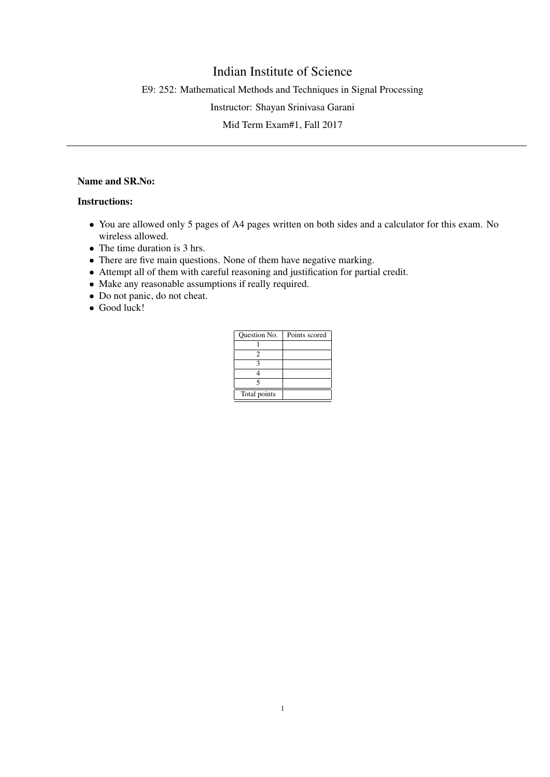## Indian Institute of Science

E9: 252: Mathematical Methods and Techniques in Signal Processing

Instructor: Shayan Srinivasa Garani

Mid Term Exam#1, Fall 2017

## Name and SR.No:

## Instructions:

- You are allowed only 5 pages of A4 pages written on both sides and a calculator for this exam. No wireless allowed.
- The time duration is 3 hrs.
- There are five main questions. None of them have negative marking.
- Attempt all of them with careful reasoning and justification for partial credit.
- Make any reasonable assumptions if really required.
- Do not panic, do not cheat.
- Good luck!

| Question No. | Points scored |
|--------------|---------------|
|              |               |
|              |               |
|              |               |
|              |               |
|              |               |
| Total points |               |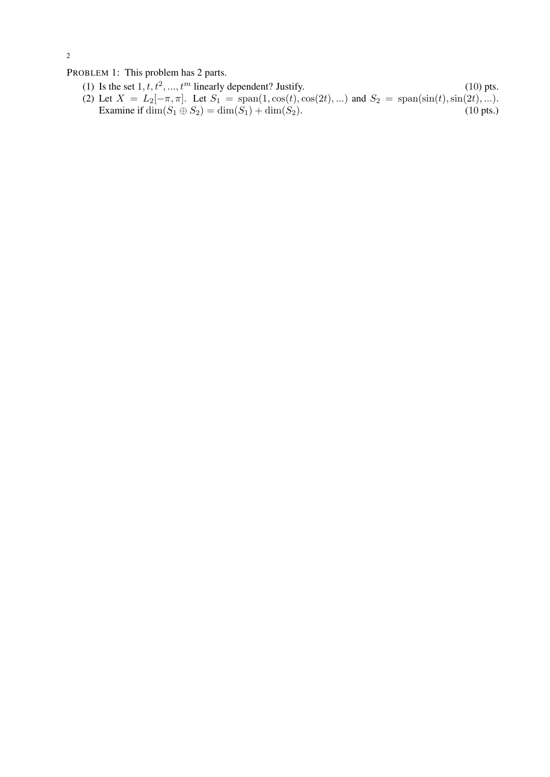2

PROBLEM 1: This problem has 2 parts.

(1) Is the set  $1, t, t^2, ..., t^m$  linearly dependent? Justify. (10) pts. (2) Let  $X = L_2[-\pi, \pi]$ . Let  $S_1 = \text{span}(1, \cos(t), \cos(2t), \ldots)$  and  $S_2 = \text{span}(\sin(t), \sin(2t), \ldots)$ . Examine if  $\dim(S_1 \oplus S_2) = \dim(S_1) + \dim(S_2)$ . (10 pts.)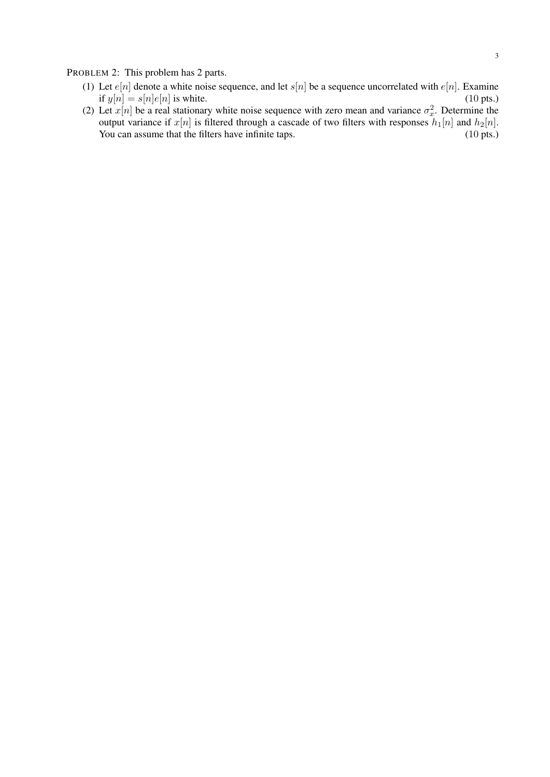PROBLEM 2: This problem has 2 parts.

- (1) Let  $e[n]$  denote a white noise sequence, and let  $s[n]$  be a sequence uncorrelated with  $e[n]$ . Examine if  $y[n] = s[n]e[n]$  is white. (10 pts.) if  $y[n] = s[n]e[n]$  is white. (10 pts.)
- (2) Let  $x[n]$  be a real stationary white noise sequence with zero mean and variance  $\sigma_x^2$ . Determine the output variance if  $x[n]$  is filtered through a cascade of two filters with responses  $h_1[n]$  and  $h_2[n]$ . You can assume that the filters have infinite taps. (10 pts.) (10 pts.)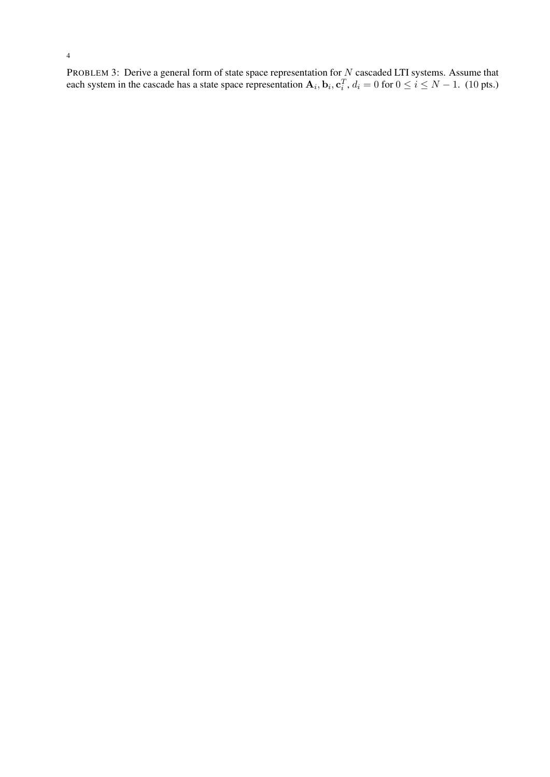PROBLEM 3: Derive a general form of state space representation for N cascaded LTI systems. Assume that each system in the cascade has a state space representation  $A_i$ ,  $b_i$ ,  $c_i^T$ ,  $d_i = 0$  for  $0 \le i \le N - 1$ . (10 pts.)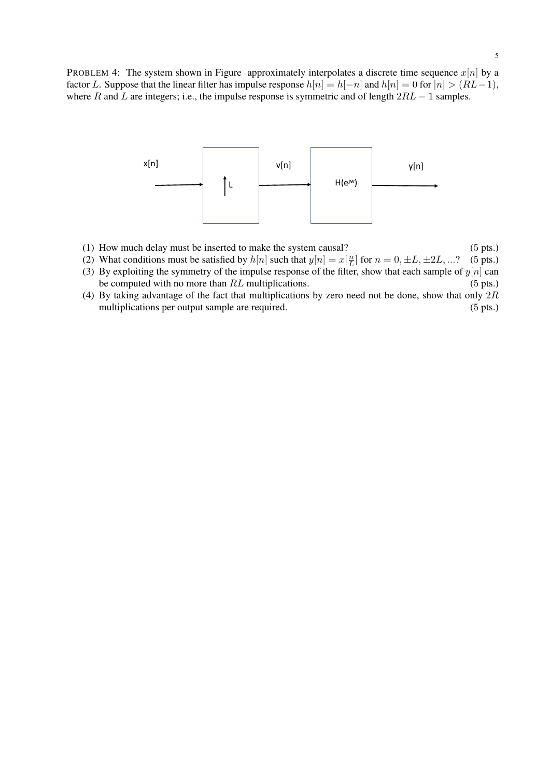

- (1) How much delay must be inserted to make the system causal? (5 pts.)
- (2) What conditions must be satisfied by  $h[n]$  such that  $y[n] = x[\frac{n}{l}]$  $\frac{n}{L}$  for  $n = 0, \pm L, \pm 2L, ...$ ? (5 pts.)
- (3) By exploiting the symmetry of the impulse response of the filter, show that each sample of  $y[n]$  can be computed with no more than  $RL$  multiplications. (5 pts.)
- (4) By taking advantage of the fact that multiplications by zero need not be done, show that only  $2R$ multiplications per output sample are required. (5 pts.)